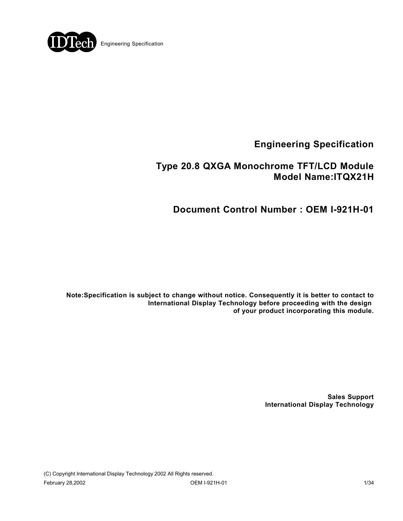

## **Type 20.8 QXGA Monochrome TFT/LCD Module Model Name:ITQX21H**

**Document Control Number : OEM I-921H-01**

**Note:Specification is subject to change without notice. Consequently it is better to contact to International Display Technology before proceeding with the design of your product incorporating this module.**

> **Sales Support International Display Technology**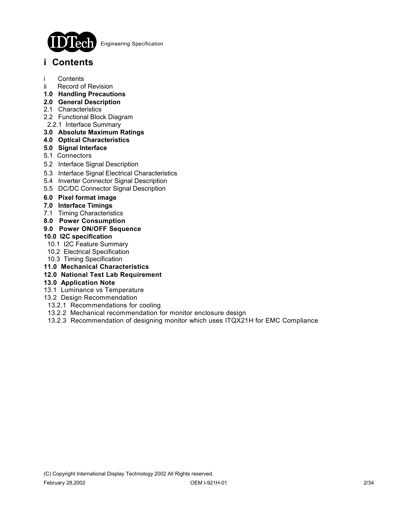

# **i Contents**

- i Contents
- ii Record of Revision
- **1.0 Handling Precautions**
- **2.0 General Description**
- 2.1 Characteristics
- 2.2 Functional Block Diagram
- 2.2.1 Interface Summary

### **3.0 Absolute Maximum Ratings**

- **4.0 Optical Characteristics**
- **5.0 Signal Interface**
- 5.1 Connectors
- 5.2 Interface Signal Description
- 5.3 Interface Signal Electrical Characteristics
- 5.4 Inverter Connector Signal Description
- 5.5 DC/DC Connector Signal Description
- **6.0 Pixel format image**
- **7.0 Interface Timings**
- 7.1 Timing Characteristics
- **8.0 Power Consumption**
- **9.0 Power ON/OFF Sequence**

#### **10.0 I2C specification**

- 10.1 I2C Feature Summary
- 10.2 Electrical Specification
- 10.3 Timing Specification
- **11.0 Mechanical Characteristics**
- **12.0 National Test Lab Requirement**

#### **13.0 Application Note**

- 13.1 Luminance vs Temperature
- 13.2 Design Recommendation
- 13.2.1 Recommendations for cooling
- 13.2.2 Mechanical recommendation for monitor enclosure design
- 13.2.3 Recommendation of designing monitor which uses ITQX21H for EMC Compliance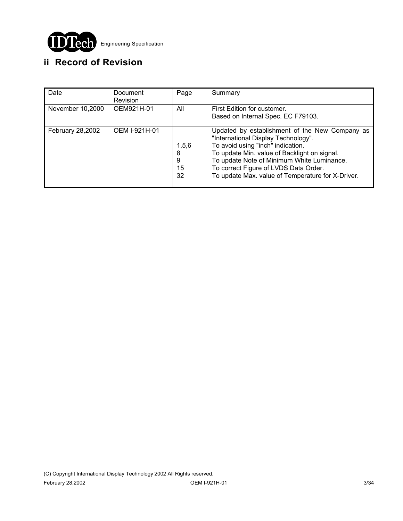

# **ii Record of Revision**

| Date             | Document<br><b>Revision</b> | Page                        | Summary                                                                                                                                                                                                                                                                                                                |
|------------------|-----------------------------|-----------------------------|------------------------------------------------------------------------------------------------------------------------------------------------------------------------------------------------------------------------------------------------------------------------------------------------------------------------|
| November 10,2000 | OEM921H-01                  | All                         | First Edition for customer.<br>Based on Internal Spec. EC F79103.                                                                                                                                                                                                                                                      |
| February 28,2002 | OEM I-921H-01               | 1,5,6<br>8<br>9<br>15<br>32 | Updated by establishment of the New Company as<br>"International Display Technology".<br>To avoid using "inch" indication.<br>To update Min. value of Backlight on signal.<br>To update Note of Minimum White Luminance.<br>To correct Figure of LVDS Data Order.<br>To update Max. value of Temperature for X-Driver. |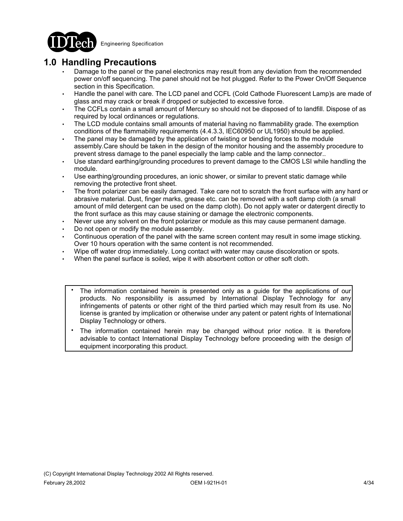

## **1.0 Handling Precautions**

- Damage to the panel or the panel electronics may result from any deviation from the recommended power on/off sequencing. The panel should not be hot plugged. Refer to the Power On/Off Sequence section in this Specification.
- Handle the panel with care. The LCD panel and CCFL (Cold Cathode Fluorescent Lamp)s are made of glass and may crack or break if dropped or subjected to excessive force.
- The CCFLs contain a small amount of Mercury so should not be disposed of to landfill. Dispose of as required by local ordinances or regulations.
- The LCD module contains small amounts of material having no flammability grade. The exemption conditions of the flammability requirements (4.4.3.3, IEC60950 or UL1950) should be applied.
- The panel may be damaged by the application of twisting or bending forces to the module assembly.Care should be taken in the design of the monitor housing and the assembly procedure to prevent stress damage to the panel especially the lamp cable and the lamp connector..
- Use standard earthing/grounding procedures to prevent damage to the CMOS LSI while handling the module.
- Use earthing/grounding procedures, an ionic shower, or similar to prevent static damage while removing the protective front sheet.
- The front polarizer can be easily damaged. Take care not to scratch the front surface with any hard or abrasive material. Dust, finger marks, grease etc. can be removed with a soft damp cloth (a small amount of mild detergent can be used on the damp cloth). Do not apply water or datergent directly to the front surface as this may cause staining or damage the electronic components.
- Never use any solvent on the front polarizer or module as this may cause permanent damage.
- Do not open or modify the module assembly.
- Continuous operation of the panel with the same screen content may result in some image sticking. Over 10 hours operation with the same content is not recommended.
- Wipe off water drop immediately. Long contact with water may cause discoloration or spots.
- When the panel surface is soiled, wipe it with absorbent cotton or other soft cloth.
	- The information contained herein is presented only as a guide for the applications of our products. No responsibility is assumed by International Display Technology for any infringements of patents or other right of the third partied which may result from its use. No license is granted by implication or otherwise under any patent or patent rights of International Display Technology or others. .
	- The information contained herein may be changed without prior notice. It is therefore advisable to contact International Display Technology before proceeding with the design of equipment incorporating this product. .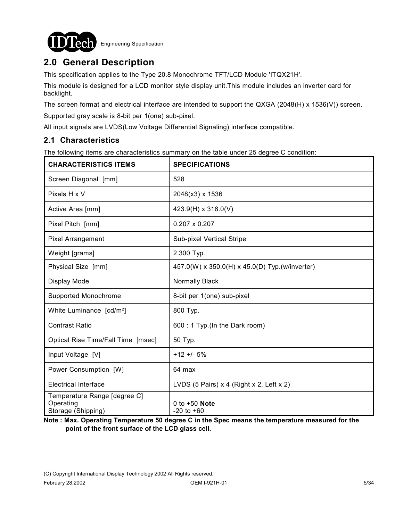

# **2.0 General Description**

This specification applies to the Type 20.8 Monochrome TFT/LCD Module 'ITQX21H'.

This module is designed for a LCD monitor style display unit.This module includes an inverter card for backlight.

The screen format and electrical interface are intended to support the QXGA (2048(H) x 1536(V)) screen.

Supported gray scale is 8-bit per 1(one) sub-pixel.

All input signals are LVDS(Low Voltage Differential Signaling) interface compatible.

### **2.1 Characteristics**

The following items are characteristics summary on the table under 25 degree C condition:

| <b>CHARACTERISTICS ITEMS</b>                                    | <b>SPECIFICATIONS</b>                          |
|-----------------------------------------------------------------|------------------------------------------------|
| Screen Diagonal [mm]                                            | 528                                            |
| Pixels H x V                                                    | 2048(x3) x 1536                                |
| Active Area [mm]                                                | 423.9(H) x 318.0(V)                            |
| Pixel Pitch [mm]                                                | $0.207 \times 0.207$                           |
| Pixel Arrangement                                               | Sub-pixel Vertical Stripe                      |
| Weight [grams]                                                  | 2,300 Typ.                                     |
| Physical Size [mm]                                              | 457.0(W) x 350.0(H) x 45.0(D) Typ.(w/inverter) |
| Display Mode                                                    | Normally Black                                 |
| Supported Monochrome                                            | 8-bit per 1(one) sub-pixel                     |
| White Luminance [cd/m <sup>2</sup> ]                            | 800 Typ.                                       |
| <b>Contrast Ratio</b>                                           | 600 : 1 Typ. (In the Dark room)                |
| Optical Rise Time/Fall Time [msec]                              | 50 Typ.                                        |
| Input Voltage [V]                                               | $+12 + 5%$                                     |
| Power Consumption [W]                                           | 64 max                                         |
| <b>Electrical Interface</b>                                     | LVDS (5 Pairs) x 4 (Right x 2, Left x 2)       |
| Temperature Range [degree C]<br>Operating<br>Storage (Shipping) | 0 to $+50$ Note<br>$-20$ to $+60$              |

**Note : Max. Operating Temperature 50 degree C in the Spec means the temperature measured for the point of the front surface of the LCD glass cell.**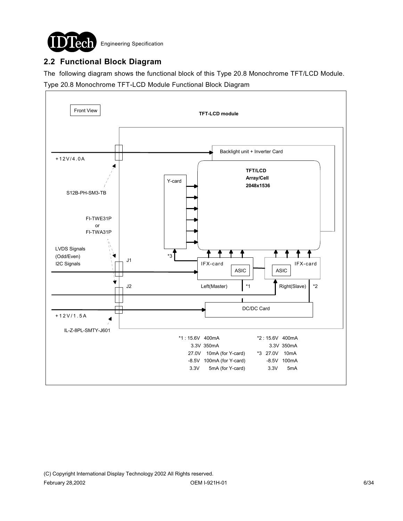

### **2.2 Functional Block Diagram**

The following diagram shows the functional block of this Type 20.8 Monochrome TFT/LCD Module. Type 20.8 Monochrome TFT-LCD Module Functional Block Diagram

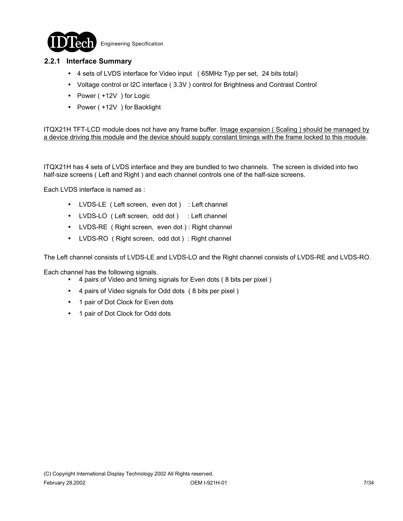

### **2.2.1 Interface Summary**

- ! 4 sets of LVDS interface for Video input ( 65MHz Typ per set, 24 bits total)
- ! Voltage control or I2C interface ( 3.3V ) control for Brightness and Contrast Control
- Power ( +12V ) for Logic
- Power ( +12V ) for Backlight

ITQX21H TFT-LCD module does not have any frame buffer. Image expansion ( Scaling ) should be managed by a device driving this module and the device should supply constant timings with the frame locked to this module.

ITQX21H has 4 sets of LVDS interface and they are bundled to two channels. The screen is divided into two half-size screens ( Left and Right ) and each channel controls one of the half-size screens.

Each LVDS interface is named as :

- LVDS-LE ( Left screen, even dot ) : Left channel
- LVDS-LO ( Left screen, odd dot ) : Left channel
- LVDS-RE ( Right screen, even dot ) : Right channel
- LVDS-RO ( Right screen, odd dot ) : Right channel

The Left channel consists of LVDS-LE and LVDS-LO and the Right channel consists of LVDS-RE and LVDS-RO.

Each channel has the following signals.

- ! 4 pairs of Video and timing signals for Even dots ( 8 bits per pixel )
- ! 4 pairs of Video signals for Odd dots ( 8 bits per pixel )
- 1 pair of Dot Clock for Even dots
- 1 pair of Dot Clock for Odd dots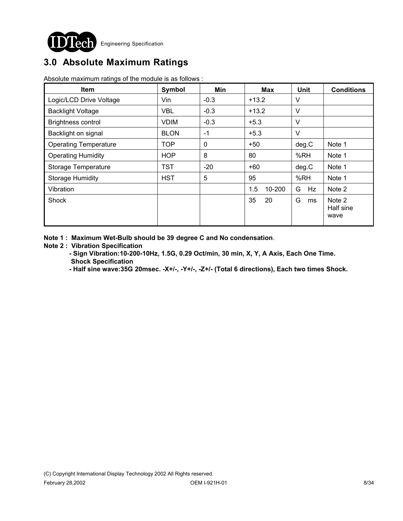

# **3.0 Absolute Maximum Ratings**

Absolute maximum ratings of the module is as follows :

| <b>Item</b>                  | Symbol      | Min         | <b>Max</b>    | Unit    | <b>Conditions</b>           |
|------------------------------|-------------|-------------|---------------|---------|-----------------------------|
| Logic/LCD Drive Voltage      | Vin         | $-0.3$      | $+13.2$       | V       |                             |
| <b>Backlight Voltage</b>     | <b>VBL</b>  | $-0.3$      | $+13.2$       | V       |                             |
| <b>Brightness control</b>    | <b>VDIM</b> | $-0.3$      | $+5.3$        | V       |                             |
| Backlight on signal          | <b>BLON</b> | $-1$        | $+5.3$        | $\vee$  |                             |
| <b>Operating Temperature</b> | <b>TOP</b>  | $\mathbf 0$ | $+50$         | deg.C   | Note 1                      |
| <b>Operating Humidity</b>    | <b>HOP</b>  | 8           | 80            | %RH     | Note 1                      |
| Storage Temperature          | <b>TST</b>  | $-20$       | $+60$         | deg.C   | Note 1                      |
| <b>Storage Humidity</b>      | <b>HST</b>  | 5           | 95            | %RH     | Note 1                      |
| Vibration                    |             |             | 1.5<br>10-200 | G<br>Hz | Note 2                      |
| Shock                        |             |             | 35<br>20      | G<br>ms | Note 2<br>Half sine<br>wave |

**Note 1 : Maximum Wet-Bulb should be 39 degree C and No condensation**.

#### **Note 2 : Vibration Specification**

- **Sign Vibration:10-200-10Hz, 1.5G, 0.29 Oct/min, 30 min, X, Y, A Axis, Each One Time. Shock Specification**
- **Half sine wave:35G 20msec. -X+/-, -Y+/-, -Z+/- (Total 6 directions), Each two times Shock.**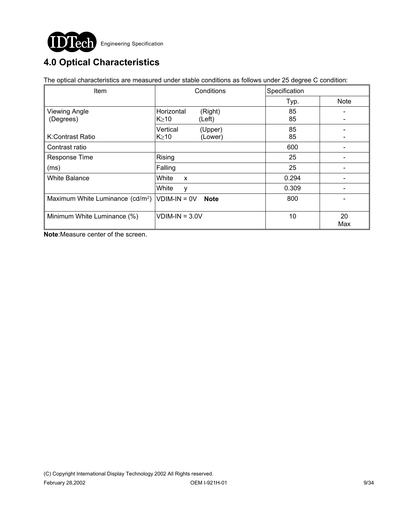

# **4.0 Optical Characteristics**

The optical characteristics are measured under stable conditions as follows under 25 degree C condition:

| <b>Item</b>                                     | Conditions                                     | Specification |             |
|-------------------------------------------------|------------------------------------------------|---------------|-------------|
|                                                 |                                                | Typ.          | <b>Note</b> |
| <b>Viewing Angle</b><br>(Degrees)               | Horizontal<br>(Right)<br>$K \geq 10$<br>(Left) | 85<br>85      |             |
| K:Contrast Ratio                                | Vertical<br>(Upper)<br>$K \geq 10$<br>(Lower)  | 85<br>85      |             |
| Contrast ratio                                  |                                                | 600           |             |
| Response Time                                   | Rising                                         | 25            |             |
| (ms)                                            | Falling                                        | 25            |             |
| <b>White Balance</b>                            | White<br>X                                     | 0.294         |             |
|                                                 | White<br>y                                     | 0.309         |             |
| Maximum White Luminance $(cd/m^2)$ VDIM-IN = 0V | <b>Note</b>                                    | 800           |             |
| Minimum White Luminance (%)                     | $VDIM-IN = 3.0V$                               | 10            | 20<br>Max   |

**Note**:Measure center of the screen.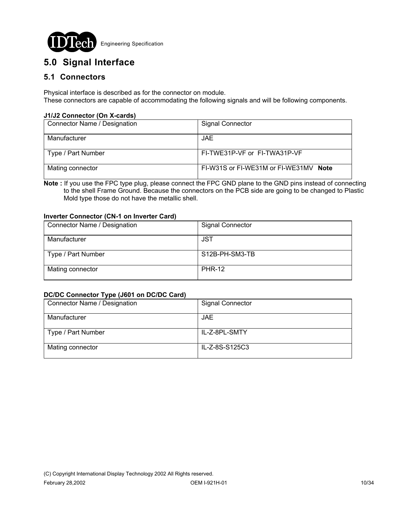

## **5.0 Signal Interface**

### **5.1 Connectors**

Physical interface is described as for the connector on module. These connectors are capable of accommodating the following signals and will be following components.

#### **J1/J2 Connector (On X-cards)**

| Connector Name / Designation | <b>Signal Connector</b>               |
|------------------------------|---------------------------------------|
| Manufacturer                 | JAE.                                  |
| Type / Part Number           | FI-TWE31P-VF or FI-TWA31P-VF          |
| Mating connector             | FI-W31S or FI-WE31M or FI-WE31MV Note |

**Note :** If you use the FPC type plug, please connect the FPC GND plane to the GND pins instead of connecting to the shell Frame Ground. Because the connectors on the PCB side are going to be changed to Plastic Mold type those do not have the metallic shell.

#### **Inverter Connector (CN-1 on Inverter Card)**

| Connector Name / Designation | <b>Signal Connector</b> |
|------------------------------|-------------------------|
| Manufacturer                 | JST                     |
| Type / Part Number           | S12B-PH-SM3-TB          |
| Mating connector             | <b>PHR-12</b>           |

#### **DC/DC Connector Type (J601 on DC/DC Card)**

| Connector Name / Designation | <b>Signal Connector</b> |
|------------------------------|-------------------------|
| Manufacturer                 | JAE.                    |
| Type / Part Number           | IL-Z-8PL-SMTY           |
| Mating connector             | IL-Z-8S-S125C3          |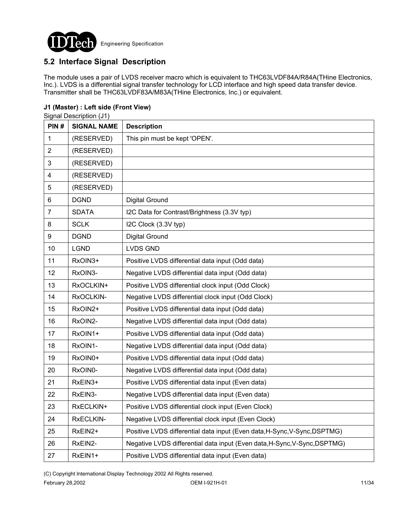

## **5.2 Interface Signal Description**

The module uses a pair of LVDS receiver macro which is equivalent to THC63LVDF84A/R84A(THine Electronics, Inc.). LVDS is a differential signal transfer technology for LCD interface and high speed data transfer device. Transmitter shall be THC63LVDF83A/M83A(THine Electronics, Inc.) or equivalent.

#### **J1 (Master) : Left side (Front View)**

Signal Description (J1)

| PIN#                    | <b>SIGNAL NAME</b> | <b>Description</b>                                                        |
|-------------------------|--------------------|---------------------------------------------------------------------------|
| 1                       | (RESERVED)         | This pin must be kept 'OPEN'.                                             |
| $\overline{2}$          | (RESERVED)         |                                                                           |
| 3                       | (RESERVED)         |                                                                           |
| $\overline{\mathbf{4}}$ | (RESERVED)         |                                                                           |
| 5                       | (RESERVED)         |                                                                           |
| 6                       | <b>DGND</b>        | <b>Digital Ground</b>                                                     |
| $\overline{7}$          | <b>SDATA</b>       | I2C Data for Contrast/Brightness (3.3V typ)                               |
| 8                       | <b>SCLK</b>        | I2C Clock (3.3V typ)                                                      |
| 9                       | <b>DGND</b>        | <b>Digital Ground</b>                                                     |
| 10                      | <b>LGND</b>        | <b>LVDS GND</b>                                                           |
| 11                      | RxOIN3+            | Positive LVDS differential data input (Odd data)                          |
| 12                      | RxOIN3-            | Negative LVDS differential data input (Odd data)                          |
| 13                      | RxOCLKIN+          | Positive LVDS differential clock input (Odd Clock)                        |
| 14                      | RxOCLKIN-          | Negative LVDS differential clock input (Odd Clock)                        |
| 15                      | RxOIN2+            | Positive LVDS differential data input (Odd data)                          |
| 16                      | RxOIN2-            | Negative LVDS differential data input (Odd data)                          |
| 17                      | RxOIN1+            | Positive LVDS differential data input (Odd data)                          |
| 18                      | RxOIN1-            | Negative LVDS differential data input (Odd data)                          |
| 19                      | RxOIN0+            | Positive LVDS differential data input (Odd data)                          |
| 20                      | RxOIN0-            | Negative LVDS differential data input (Odd data)                          |
| 21                      | RxEIN3+            | Positive LVDS differential data input (Even data)                         |
| 22                      | RxEIN3-            | Negative LVDS differential data input (Even data)                         |
| 23                      | RxECLKIN+          | Positive LVDS differential clock input (Even Clock)                       |
| 24                      | RxECLKIN-          | Negative LVDS differential clock input (Even Clock)                       |
| 25                      | RxEIN2+            | Positive LVDS differential data input (Even data, H-Sync, V-Sync, DSPTMG) |
| 26                      | RxEIN2-            | Negative LVDS differential data input (Even data, H-Sync, V-Sync, DSPTMG) |
| 27                      | RxEIN1+            | Positive LVDS differential data input (Even data)                         |

(C) Copyright International Display Technology 2002 All Rights reserved.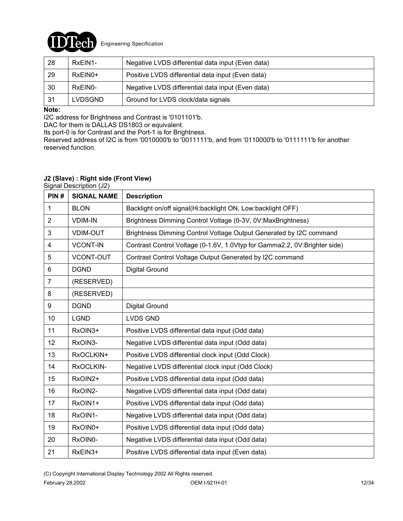

| 28  | RxEIN1-        | Negative LVDS differential data input (Even data) |
|-----|----------------|---------------------------------------------------|
| 29  | $RxEIN0+$      | Positive LVDS differential data input (Even data) |
| 30  | RxEIN0-        | Negative LVDS differential data input (Even data) |
| -31 | <b>LVDSGND</b> | Ground for LVDS clock/data signals                |

#### **Note:**

I2C address for Brightness and Contrast is '0101101'b.

DAC for them is DALLAS DS1803 or equivalent.

Its port-0 is for Contrast and the Port-1 is for Brightness.

Reserved address of I2C is from '0010000'b to '0011111'b, and from '0110000'b to '0111111'b for another reserved function.

#### **J2 (Slave) : Right side (Front View)**

Signal Description (J2)

| PIN#           | <b>SIGNAL NAME</b> | <b>Description</b>                                                        |
|----------------|--------------------|---------------------------------------------------------------------------|
| 1              | <b>BLON</b>        | Backlight on/off signal(Hi:backlight ON, Low:backlight OFF)               |
| $\overline{2}$ | <b>VDIM-IN</b>     | Brightness Dimming Control Voltage (0-3V, 0V:MaxBrightness)               |
| 3              | <b>VDIM-OUT</b>    | Brightness Dimming Control Voltage Output Generated by I2C command        |
| $\overline{4}$ | <b>VCONT-IN</b>    | Contrast Control Voltage (0-1.6V, 1.0Vtyp for Gamma2.2, 0V:Brighter side) |
| 5              | <b>VCONT-OUT</b>   | Contrast Control Voltage Output Generated by I2C command                  |
| $6\phantom{1}$ | <b>DGND</b>        | Digital Ground                                                            |
| $\overline{7}$ | (RESERVED)         |                                                                           |
| 8              | (RESERVED)         |                                                                           |
| 9              | <b>DGND</b>        | Digital Ground                                                            |
| 10             | <b>LGND</b>        | <b>LVDS GND</b>                                                           |
| 11             | RxOIN3+            | Positive LVDS differential data input (Odd data)                          |
| 12             | RxOIN3-            | Negative LVDS differential data input (Odd data)                          |
| 13             | RxOCLKIN+          | Positive LVDS differential clock input (Odd Clock)                        |
| 14             | RxOCLKIN-          | Negative LVDS differential clock input (Odd Clock)                        |
| 15             | RxOIN2+            | Positive LVDS differential data input (Odd data)                          |
| 16             | RxOIN2-            | Negative LVDS differential data input (Odd data)                          |
| 17             | RxOIN1+            | Positive LVDS differential data input (Odd data)                          |
| 18             | RxOIN1-            | Negative LVDS differential data input (Odd data)                          |
| 19             | RxOIN0+            | Positive LVDS differential data input (Odd data)                          |
| 20             | RxOIN0-            | Negative LVDS differential data input (Odd data)                          |
| 21             | RxEIN3+            | Positive LVDS differential data input (Even data)                         |

(C) Copyright International Display Technology 2002 All Rights reserved.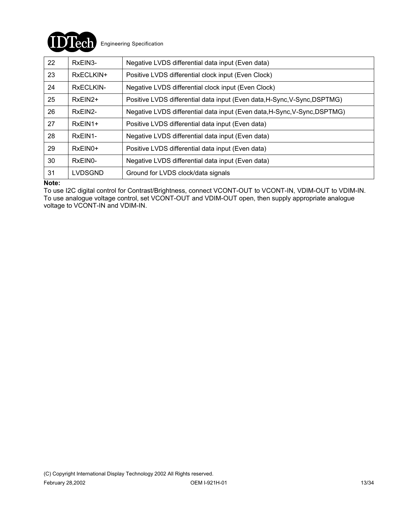

| 22 | RxEIN3-              | Negative LVDS differential data input (Even data)                         |
|----|----------------------|---------------------------------------------------------------------------|
| 23 | RxECLKIN+            | Positive LVDS differential clock input (Even Clock)                       |
| 24 | RxECLKIN-            | Negative LVDS differential clock input (Even Clock)                       |
| 25 | $RxEIN2+$            | Positive LVDS differential data input (Even data, H-Sync, V-Sync, DSPTMG) |
| 26 | RxEIN2-              | Negative LVDS differential data input (Even data, H-Sync, V-Sync, DSPTMG) |
| 27 | RxEIN1+              | Positive LVDS differential data input (Even data)                         |
| 28 | RxEIN1-              | Negative LVDS differential data input (Even data)                         |
| 29 | $RxEIN0+$            | Positive LVDS differential data input (Even data)                         |
| 30 | RxEIN <sub>0</sub> - | Negative LVDS differential data input (Even data)                         |
| 31 | LVDSGND              | Ground for LVDS clock/data signals                                        |

#### **Note:**

To use I2C digital control for Contrast/Brightness, connect VCONT-OUT to VCONT-IN, VDIM-OUT to VDIM-IN. To use analogue voltage control, set VCONT-OUT and VDIM-OUT open, then supply appropriate analogue voltage to VCONT-IN and VDIM-IN.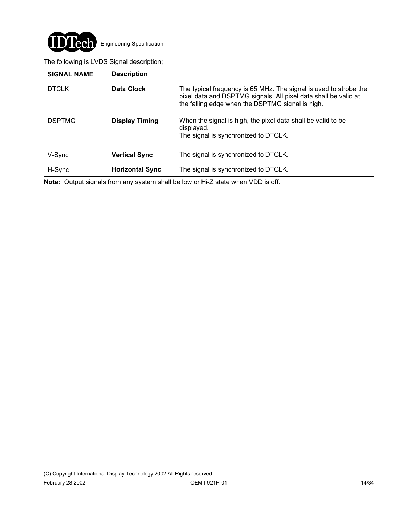

### The following is LVDS Signal description;

| <b>SIGNAL NAME</b> | <b>Description</b>     |                                                                                                                                                                                          |
|--------------------|------------------------|------------------------------------------------------------------------------------------------------------------------------------------------------------------------------------------|
| <b>DTCLK</b>       | Data Clock             | The typical frequency is 65 MHz. The signal is used to strobe the<br>pixel data and DSPTMG signals. All pixel data shall be valid at<br>the falling edge when the DSPTMG signal is high. |
| <b>DSPTMG</b>      | <b>Display Timing</b>  | When the signal is high, the pixel data shall be valid to be<br>displayed.<br>The signal is synchronized to DTCLK.                                                                       |
| V-Sync             | <b>Vertical Sync</b>   | The signal is synchronized to DTCLK.                                                                                                                                                     |
| H-Sync             | <b>Horizontal Sync</b> | The signal is synchronized to DTCLK.                                                                                                                                                     |

**Note:** Output signals from any system shall be low or Hi-Z state when VDD is off.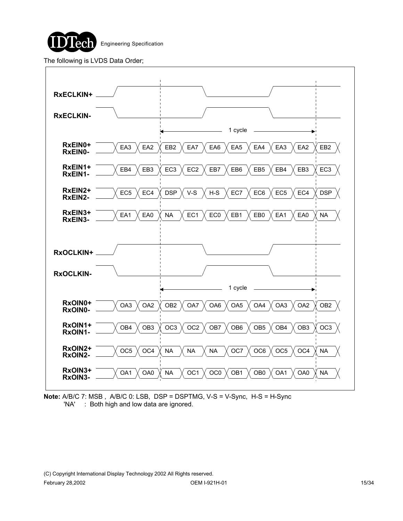

The following is LVDS Data Order;



**Note:** A/B/C 7: MSB , A/B/C 0: LSB, DSP = DSPTMG, V-S = V-Sync, H-S = H-Sync 'NA' : Both high and low data are ignored.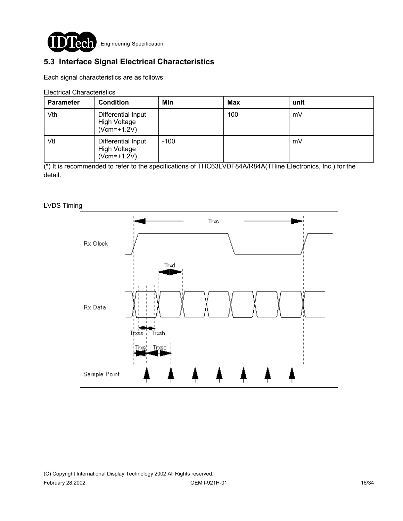

## **5.3 Interface Signal Electrical Characteristics**

Each signal characteristics are as follows;

Electrical Characteristics

| <b>Parameter</b> | <b>Condition</b>                                           | Min    | <b>Max</b> | unit |
|------------------|------------------------------------------------------------|--------|------------|------|
| Vth              | Differential Input<br><b>High Voltage</b><br>$(Vcm=+1.2V)$ |        | 100        | mV   |
| Vtl              | Differential Input<br>High Voltage<br>$(Vcm=+1.2V)$        | $-100$ |            | mV   |

(\*) It is recommended to refer to the specifications of THC63LVDF84A/R84A(THine Electronics, Inc.) for the detail.

#### LVDS Timing

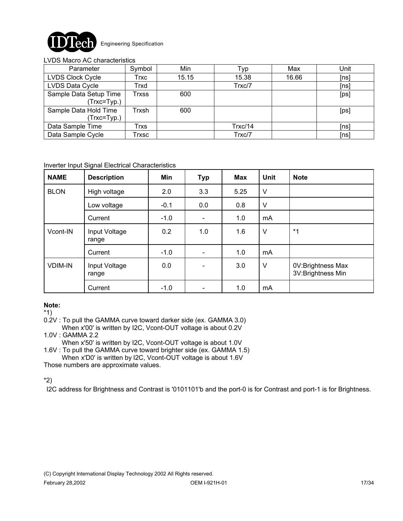

#### LVDS Macro AC characteristics

| Parameter               | Symbol | Min   | Typ     | Max   | Unit |
|-------------------------|--------|-------|---------|-------|------|
| <b>LVDS Clock Cycle</b> | Trxc   | 15.15 | 15.38   | 16.66 | [ns] |
| LVDS Data Cycle         | Trxd   |       | Trxc/7  |       | [ns] |
| Sample Data Setup Time  | Trxss  | 600   |         |       | [ps] |
| $(Trxc = Typ.)$         |        |       |         |       |      |
| Sample Data Hold Time   | Trxsh  | 600   |         |       | [ps] |
| $(Trxc = Typ.)$         |        |       |         |       |      |
| Data Sample Time        | Trxs   |       | Trxc/14 |       | [ns] |
| Data Sample Cycle       | Trxsc  |       | Trxc/7  |       | [ns] |

#### Inverter Input Signal Electrical Characteristics

| <b>NAME</b>    | <b>Description</b>     | Min    | <b>Typ</b>                   | <b>Max</b> | <b>Unit</b> | <b>Note</b>                            |
|----------------|------------------------|--------|------------------------------|------------|-------------|----------------------------------------|
| <b>BLON</b>    | High voltage           | 2.0    | 3.3                          | 5.25       | $\vee$      |                                        |
|                | Low voltage            | $-0.1$ | 0.0                          | 0.8        | $\vee$      |                                        |
|                | Current                | $-1.0$ | $\overline{\phantom{a}}$     | 1.0        | mA          |                                        |
| Vcont-IN       | Input Voltage<br>range | 0.2    | 1.0                          | 1.6        | $\vee$      | $*_{1}$                                |
|                | Current                | $-1.0$ | $\overline{\phantom{0}}$     | 1.0        | mA          |                                        |
| <b>VDIM-IN</b> | Input Voltage<br>range | 0.0    | $\qquad \qquad \blacksquare$ | 3.0        | $\vee$      | 0V:Brightness Max<br>3V:Brightness Min |
|                | Current                | $-1.0$ |                              | 1.0        | mA          |                                        |

#### **Note:**

\*1)

0.2V : To pull the GAMMA curve toward darker side (ex. GAMMA 3.0)

 When x'00' is written by I2C, Vcont-OUT voltage is about 0.2V 1.0V : GAMMA 2.2

When x'50' is written by I2C, Vcont-OUT voltage is about 1.0V

1.6V : To pull the GAMMA curve toward brighter side (ex. GAMMA 1.5) When x'D0' is written by I2C, Vcont-OUT voltage is about 1.6V

Those numbers are approximate values.

\*2)

I2C address for Brightness and Contrast is '0101101'b and the port-0 is for Contrast and port-1 is for Brightness.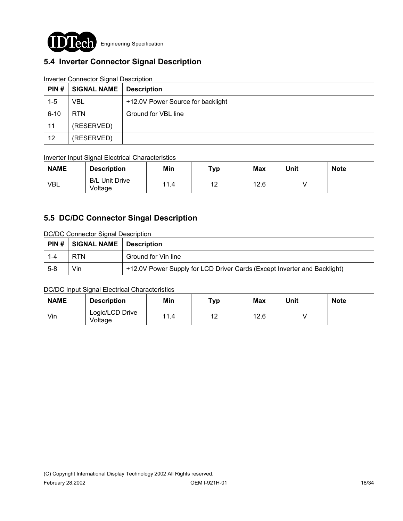

## **5.4 Inverter Connector Signal Description**

| PIN#     | <b>SIGNAL NAME</b> | <b>Description</b>                |
|----------|--------------------|-----------------------------------|
| $1 - 5$  | VBL                | +12.0V Power Source for backlight |
| $6 - 10$ | RTN.               | Ground for VBL line               |
| 11       | (RESERVED)         |                                   |
| 12       | (RESERVED)         |                                   |

#### Inverter Connector Signal Description

#### Inverter Input Signal Electrical Characteristics

| <b>NAME</b> | <b>Description</b>               | Min  | Typ | <b>Max</b> | Unit | <b>Note</b> |
|-------------|----------------------------------|------|-----|------------|------|-------------|
| <b>VBL</b>  | <b>B/L Unit Drive</b><br>Voltage | 11.4 | 12  | 12.6       |      |             |

### **5.5 DC/DC Connector Singal Description**

DC/DC Connector Signal Description

|         | $\mid$ PIN # $\mid$ SIGNAL NAME | <b>Description</b>                                                       |
|---------|---------------------------------|--------------------------------------------------------------------------|
| $1 - 4$ | <b>RTN</b>                      | Ground for Vin line                                                      |
| $5 - 8$ | Vin                             | +12.0V Power Supply for LCD Driver Cards (Except Inverter and Backlight) |

#### DC/DC Input Signal Electrical Characteristics

| <b>NAME</b> | <b>Description</b>         | Min  | Typ         | <b>Max</b> | Unit | <b>Note</b> |
|-------------|----------------------------|------|-------------|------------|------|-------------|
| Vin         | Logic/LCD Drive<br>Voltage | 11.4 | $-12$<br>▎∠ | 12.6       |      |             |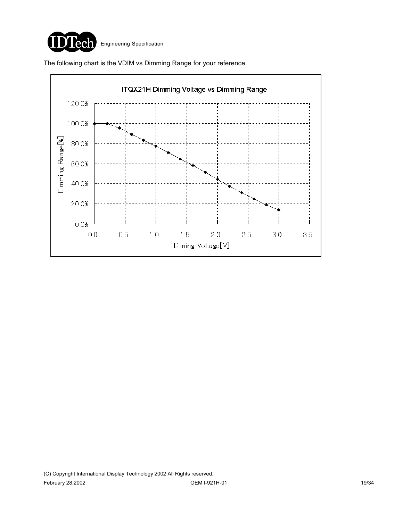

The following chart is the VDIM vs Dimming Range for your reference.

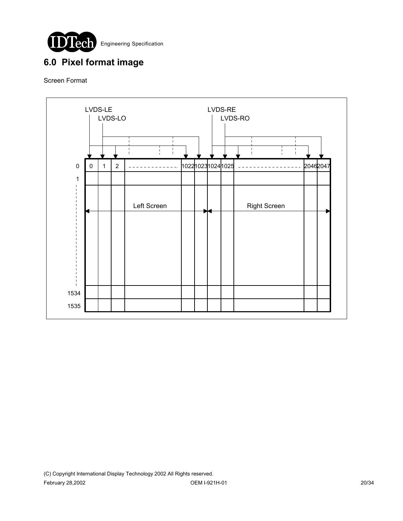

# **6.0 Pixel format image**

Screen Format

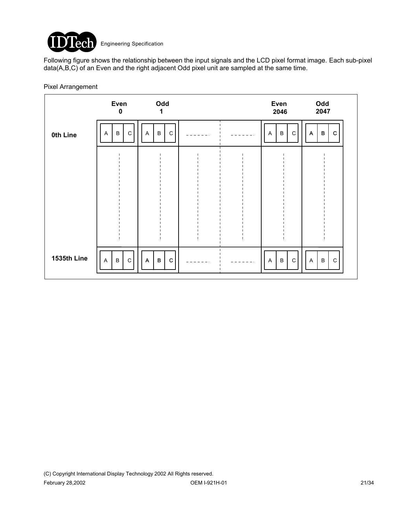

Following figure shows the relationship between the input signals and the LCD pixel format image. Each sub-pixel data(A,B,C) of an Even and the right adjacent Odd pixel unit are sampled at the same time.

#### Pixel Arrangement

|                 | Even<br>$\mathbf 0$                               | Odd<br>1                            |       | Even<br>2046                      | Odd<br>2047                                 |
|-----------------|---------------------------------------------------|-------------------------------------|-------|-----------------------------------|---------------------------------------------|
| <b>0th Line</b> | $\mathsf C$<br>B<br>A                             | $\mathbf C$<br>B<br>A               |       | B<br>C<br>A                       | $\mathsf B$<br>$\mathbf C$<br>$\mathsf{A}$  |
|                 |                                                   |                                     |       |                                   |                                             |
|                 |                                                   |                                     |       |                                   |                                             |
|                 |                                                   |                                     |       |                                   |                                             |
|                 |                                                   |                                     |       |                                   |                                             |
| 1535th Line     | $\mathbf C$<br>$\sf B$<br>$\overline{\mathsf{A}}$ | $\, {\bf B} \,$<br>$\mathbf C$<br>A | $  -$ | $\, {\sf B}$<br>$\mathsf{C}$<br>A | $\, {\bf B}$<br>$\mathbf C$<br>$\mathsf{A}$ |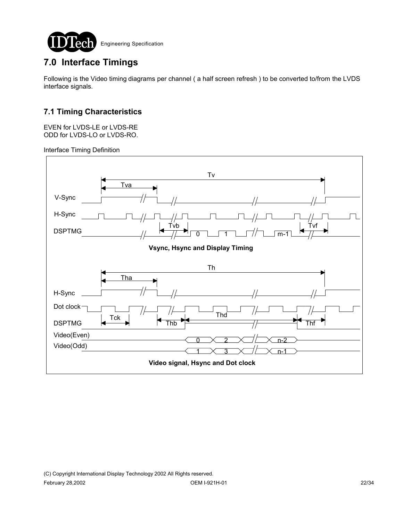

# **7.0 Interface Timings**

Following is the Video timing diagrams per channel ( a half screen refresh ) to be converted to/from the LVDS interface signals.

### **7.1 Timing Characteristics**

EVEN for LVDS-LE or LVDS-RE ODD for LVDS-LO or LVDS-RO.

Interface Timing Definition

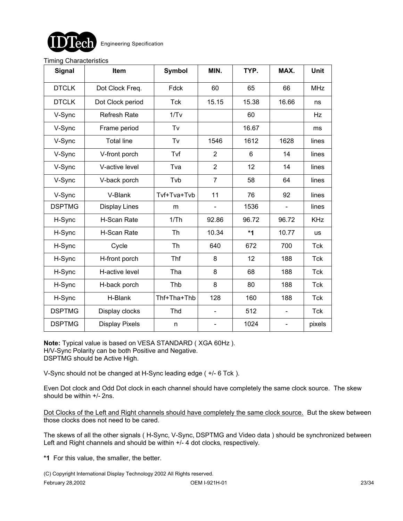

#### Timing Characteristics

| <b>Signal</b> | Item                  | <b>Symbol</b> | MIN.           | TYP.  | MAX.                     | <b>Unit</b> |
|---------------|-----------------------|---------------|----------------|-------|--------------------------|-------------|
| <b>DTCLK</b>  | Dot Clock Freq.       | Fdck          | 60             | 65    | 66                       | <b>MHz</b>  |
| <b>DTCLK</b>  | Dot Clock period      | <b>Tck</b>    | 15.15          | 15.38 | 16.66                    | ns          |
| V-Sync        | <b>Refresh Rate</b>   | 1/Tv          |                | 60    |                          | Hz          |
| V-Sync        | Frame period          | Tv            |                | 16.67 |                          | ms          |
| V-Sync        | <b>Total line</b>     | Tv            | 1546           | 1612  | 1628                     | lines       |
| V-Sync        | V-front porch         | Tvf           | 2              | 6     | 14                       | lines       |
| V-Sync        | V-active level        | Tva           | $\overline{2}$ | 12    | 14                       | lines       |
| V-Sync        | V-back porch          | Tvb           | $\overline{7}$ | 58    | 64                       | lines       |
| V-Sync        | V-Blank               | Tvf+Tva+Tvb   | 11             | 76    | 92                       | lines       |
| <b>DSPTMG</b> | <b>Display Lines</b>  | m             | -              | 1536  | $\blacksquare$           | lines       |
| H-Sync        | H-Scan Rate           | 1/Th          | 92.86          | 96.72 | 96.72                    | <b>KHz</b>  |
| H-Sync        | H-Scan Rate           | <b>Th</b>     | 10.34          | $*1$  | 10.77                    | <b>us</b>   |
| H-Sync        | Cycle                 | <b>Th</b>     | 640            | 672   | 700                      | Tck         |
| H-Sync        | H-front porch         | Thf           | 8              | 12    | 188                      | <b>Tck</b>  |
| H-Sync        | H-active level        | Tha           | 8              | 68    | 188                      | Tck         |
| H-Sync        | H-back porch          | Thb           | 8              | 80    | 188                      | <b>Tck</b>  |
| H-Sync        | H-Blank               | Thf+Tha+Thb   | 128            | 160   | 188                      | <b>Tck</b>  |
| <b>DSPTMG</b> | Display clocks        | Thd           |                | 512   |                          | <b>Tck</b>  |
| <b>DSPTMG</b> | <b>Display Pixels</b> | n             | ÷,             | 1024  | $\overline{\phantom{a}}$ | pixels      |

**Note:** Typical value is based on VESA STANDARD ( XGA 60Hz ). H/V-Sync Polarity can be both Positive and Negative. DSPTMG should be Active High.

V-Sync should not be changed at H-Sync leading edge ( +/- 6 Tck ).

Even Dot clock and Odd Dot clock in each channel should have completely the same clock source. The skew should be within +/- 2ns.

Dot Clocks of the Left and Right channels should have completely the same clock source. But the skew between those clocks does not need to be cared.

The skews of all the other signals ( H-Sync, V-Sync, DSPTMG and Video data ) should be synchronized between Left and Right channels and should be within  $+/-$  4 dot clocks, respectively.

**\*1** For this value, the smaller, the better.

(C) Copyright International Display Technology 2002 All Rights reserved.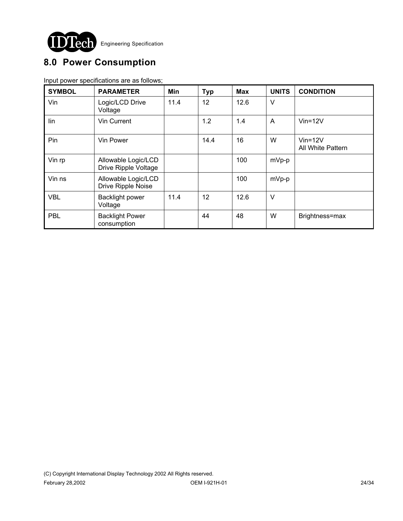

# **8.0 Power Consumption**

Input power specifications are as follows;

| <b>SYMBOL</b> | <b>PARAMETER</b>                            | Min  | <b>Typ</b> | <b>Max</b> | <b>UNITS</b> | <b>CONDITION</b>                   |
|---------------|---------------------------------------------|------|------------|------------|--------------|------------------------------------|
| Vin           | Logic/LCD Drive<br>Voltage                  | 11.4 | 12         | 12.6       | $\vee$       |                                    |
| lin           | Vin Current                                 |      | 1.2        | 1.4        | A            | $V$ in=12 $V$                      |
| Pin           | Vin Power                                   |      | 14.4       | 16         | W            | $V$ in=12 $V$<br>All White Pattern |
| Vin rp        | Allowable Logic/LCD<br>Drive Ripple Voltage |      |            | 100        | mVp-p        |                                    |
| Vin ns        | Allowable Logic/LCD<br>Drive Ripple Noise   |      |            | 100        | mVp-p        |                                    |
| <b>VBL</b>    | <b>Backlight power</b><br>Voltage           | 11.4 | 12         | 12.6       | $\vee$       |                                    |
| <b>PBL</b>    | <b>Backlight Power</b><br>consumption       |      | 44         | 48         | W            | Brightness=max                     |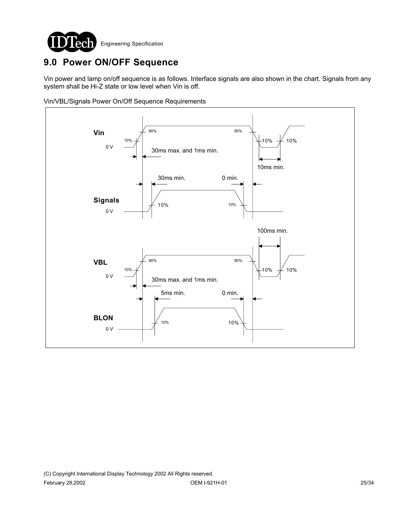

# **9.0 Power ON/OFF Sequence**

Vin power and lamp on/off sequence is as follows. Interface signals are also shown in the chart. Signals from any system shall be Hi-Z state or low level when Vin is off.

Vin/VBL/Signals Power On/Off Sequence Requirements

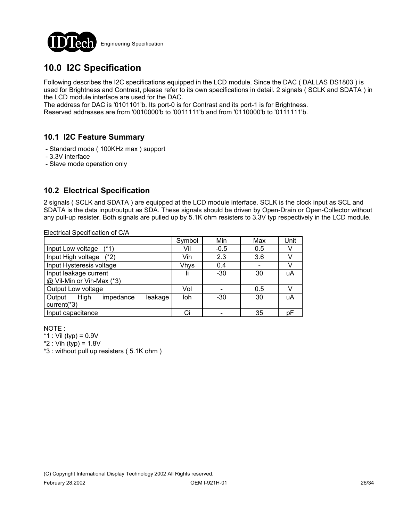

# **10.0 I2C Specification**

Following describes the I2C specifications equipped in the LCD module. Since the DAC ( DALLAS DS1803 ) is used for Brightness and Contrast, please refer to its own specifications in detail. 2 signals ( SCLK and SDATA ) in the LCD module interface are used for the DAC.

The address for DAC is '0101101'b. Its port-0 is for Contrast and its port-1 is for Brightness.

Reserved addresses are from '0010000'b to '0011111'b and from '0110000'b to '0111111'b.

### **10.1 I2C Feature Summary**

- Standard mode ( 100KHz max ) support
- 3.3V interface
- Slave mode operation only

### **10.2 Electrical Specification**

2 signals ( SCLK and SDATA ) are equipped at the LCD module interface. SCLK is the clock input as SCL and SDATA is the data input/output as SDA. These signals should be driven by Open-Drain or Open-Collector without any pull-up resister. Both signals are pulled up by 5.1K ohm resisters to 3.3V typ respectively in the LCD module.

Electrical Specification of C/A

|                                        | Symbol      | Min    | Max | Unit |
|----------------------------------------|-------------|--------|-----|------|
| Input Low voltage<br>$(*1)$            | Vil         | $-0.5$ | 0.5 |      |
| Input High voltage<br>$(*2)$           | Vih         | 2.3    | 3.6 |      |
| Input Hysteresis voltage               | <b>Vhys</b> | 0.4    |     |      |
| Input leakage current                  |             | $-30$  | 30  | uA   |
| @ Vil-Min or Vih-Max (*3)              |             |        |     |      |
| Output Low voltage                     | Vol         |        | 0.5 |      |
| High<br>Output<br>impedance<br>leakage | loh         | $-30$  | 30  | uA   |
| current(*3)                            |             |        |     |      |
| Input capacitance                      |             |        | 35  | рF   |

NOTE :

\*1 : Vil (typ) =  $0.9V$ 

\*2 : Vih (typ) = 1.8V

\*3 : without pull up resisters ( 5.1K ohm )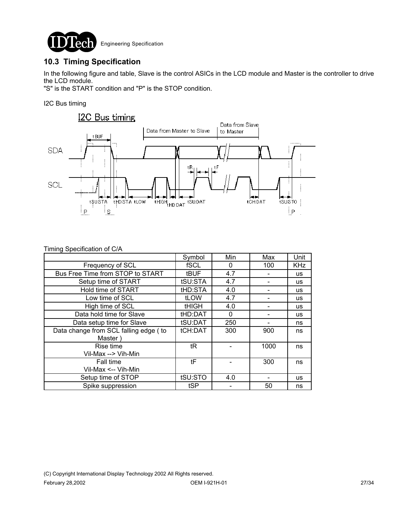

### **10.3 Timing Specification**

In the following figure and table, Slave is the control ASICs in the LCD module and Master is the controller to drive the LCD module.

"S" is the START condition and "P" is the STOP condition.

I2C Bus timing



| Timing Specification of C/A |  |  |  |  |
|-----------------------------|--|--|--|--|
|-----------------------------|--|--|--|--|

|                                                  | Symbol       | Min      | Max  | Unit       |
|--------------------------------------------------|--------------|----------|------|------------|
| Frequency of SCL                                 | fSCL         | $\Omega$ | 100  | <b>KHz</b> |
| Bus Free Time from STOP to START                 | tBUF         | 4.7      |      | <b>us</b>  |
| Setup time of START                              | tSU:STA      | 4.7      |      | <b>us</b>  |
| Hold time of START                               | tHD:STA      | 4.0      |      | <b>us</b>  |
| Low time of SCL                                  | tLOW         | 4.7      |      | <b>us</b>  |
| High time of SCL                                 | <b>tHIGH</b> | 4.0      |      | <b>us</b>  |
| Data hold time for Slave                         | tHD:DAT      | 0        |      | <b>us</b>  |
| Data setup time for Slave                        | tSU:DAT      | 250      |      | ns         |
| Data change from SCL falling edge (to<br>Master) | tCH:DAT      | 300      | 900  | ns         |
| Rise time<br>Vil-Max --> Vih-Min                 | tR           |          | 1000 | ns         |
| Fall time<br>Vil-Max <-- Vih-Min                 | tF           |          | 300  | ns         |
| Setup time of STOP                               | tSU:STO      | 4.0      |      | <b>us</b>  |
| Spike suppression                                | tSP          |          | 50   | ns         |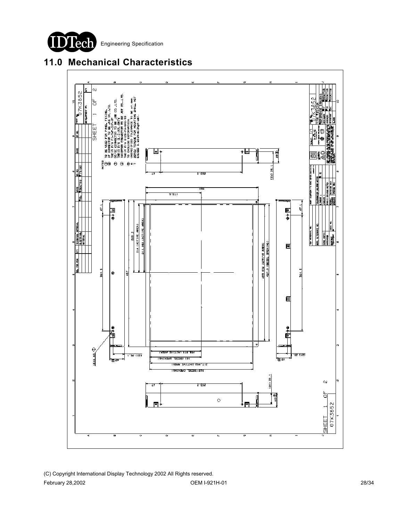DTech Engineering Specification I



# **11.0 Mechanical Characteristics**

(C) Copyright International Display Technology 2002 All Rights reserved. February 28,2002 OEM I-921H-01 28/34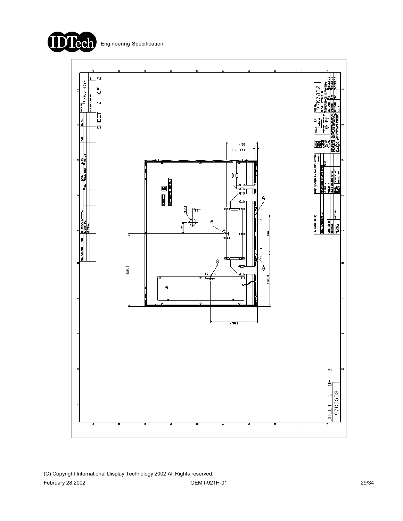

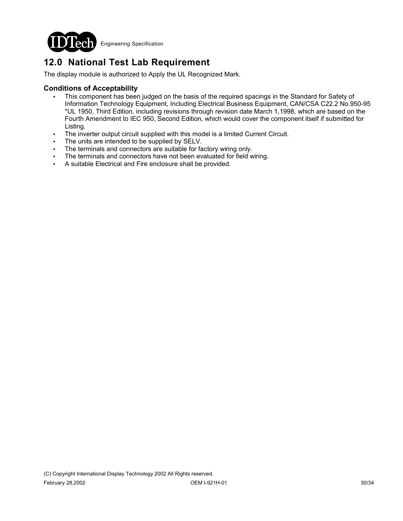

# **12.0 National Test Lab Requirement**

The display module is authorized to Apply the UL Recognized Mark.

#### **Conditions of Acceptability**

- This component has been judged on the basis of the required spacings in the Standard for Safety of Information Technology Equipment, Including Electrical Business Equipment, CAN/CSA C22.2 No.950-95 \*UL 1950, Third Edition, including revisions through revision date March 1,1998, which are based on the Fourth Amendment to IEC 950, Second Edition, which would cover the component itself if submitted for Listing.
- The inverter output circuit supplied with this model is a limited Current Circuit.
- The units are intended to be supplied by SELV.
- The terminals and connectors are suitable for factory wiring only.
- The terminals and connectors have not been evaluated for field wiring.
- ! A suitable Electrical and Fire enclosure shall be provided.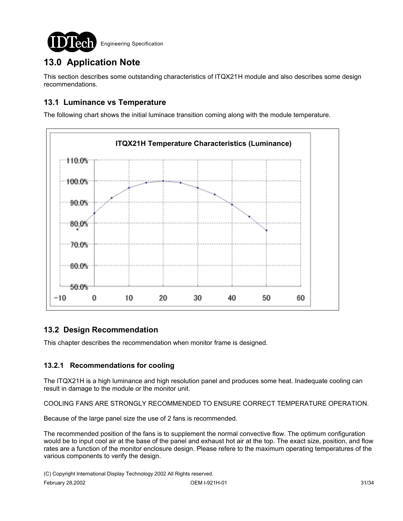

# **13.0 Application Note**

This section describes some outstanding characteristics of ITQX21H module and also describes some design recommendations.

### **13.1 Luminance vs Temperature**

The following chart shows the initial luminace transition coming along with the module temperature.



### **13.2 Design Recommendation**

This chapter describes the recommendation when monitor frame is designed.

### **13.2.1 Recommendations for cooling**

The ITQX21H is a high luminance and high resolution panel and produces some heat. Inadequate cooling can result in damage to the module or the monitor unit.

COOLING FANS ARE STRONGLY RECOMMENDED TO ENSURE CORRECT TEMPERATURE OPERATION.

Because of the large panel size the use of 2 fans is recommended.

The recommended position of the fans is to supplement the normal convective flow. The optimum configuration would be to input cool air at the base of the panel and exhaust hot air at the top. The exact size, position, and flow rates are a function of the monitor enclosure design. Please refere to the maximum operating temperatures of the various components to verify the design.

(C) Copyright International Display Technology 2002 All Rights reserved.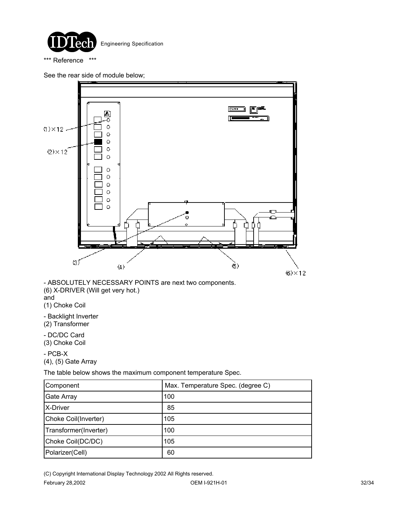

\*\*\* Reference \*\*\*

See the rear side of module below;



- ABSOLUTELY NECESSARY POINTS are next two components. (6) X-DRIVER (Will get very hot.) and

(1) Choke Coil

- Backlight Inverter (2) Transformer

- DC/DC Card (3) Choke Coil

- PCB-X (4), (5) Gate Array

The table below shows the maximum component temperature Spec.

| Component             | Max. Temperature Spec. (degree C) |  |
|-----------------------|-----------------------------------|--|
| Gate Array            | 100                               |  |
| X-Driver              | 85                                |  |
| Choke Coil(Inverter)  | 105                               |  |
| Transformer(Inverter) | 100                               |  |
| Choke Coil(DC/DC)     | 105                               |  |
| Polarizer(Cell)       | 60                                |  |

(C) Copyright International Display Technology 2002 All Rights reserved.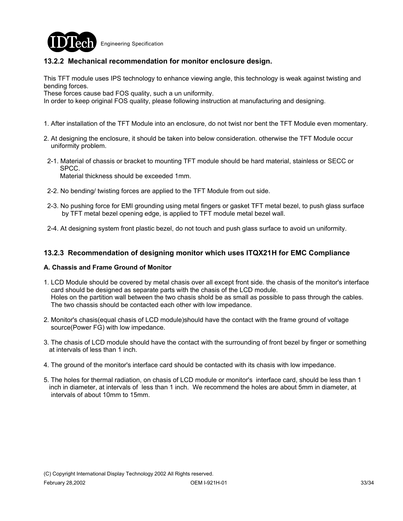

### **13.2.2 Mechanical recommendation for monitor enclosure design.**

This TFT module uses IPS technology to enhance viewing angle, this technology is weak against twisting and bending forces.

These forces cause bad FOS quality, such a un uniformity.

In order to keep original FOS quality, please following instruction at manufacturing and designing.

- 1. After installation of the TFT Module into an enclosure, do not twist nor bent the TFT Module even momentary.
- 2. At designing the enclosure, it should be taken into below consideration. otherwise the TFT Module occur uniformity problem.
- 2-1. Material of chassis or bracket to mounting TFT module should be hard material, stainless or SECC or SPCC. Material thickness should be exceeded 1mm.

- 2-2. No bending/ twisting forces are applied to the TFT Module from out side.
- 2-3. No pushing force for EMI grounding using metal fingers or gasket TFT metal bezel, to push glass surface by TFT metal bezel opening edge, is applied to TFT module metal bezel wall.
- 2-4. At designing system front plastic bezel, do not touch and push glass surface to avoid un uniformity.

#### **13.2.3 Recommendation of designing monitor which uses ITQX21H for EMC Compliance**

#### **A. Chassis and Frame Ground of Monitor**

- 1. LCD Module should be covered by metal chasis over all except front side. the chasis of the monitor's interface card should be designed as separate parts with the chasis of the LCD module. Holes on the partition wall between the two chasis shold be as small as possible to pass through the cables. The two chassis should be contacted each other with low impedance.
- 2. Monitor's chasis(equal chasis of LCD module)should have the contact with the frame ground of voltage source(Power FG) with low impedance.
- 3. The chasis of LCD module should have the contact with the surrounding of front bezel by finger or something at intervals of less than 1 inch.
- 4. The ground of the monitor's interface card should be contacted with its chasis with low impedance.
- 5. The holes for thermal radiation, on chasis of LCD module or monitor's interface card, should be less than 1 inch in diameter, at intervals of less than 1 inch. We recommend the holes are about 5mm in diameter, at intervals of about 10mm to 15mm.